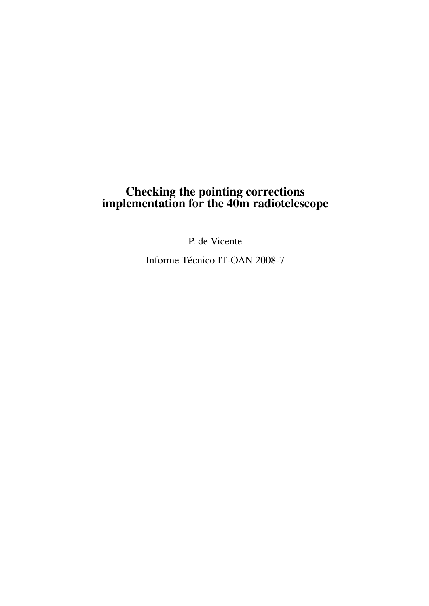## Checking the pointing corrections implementation for the 40m radiotelescope

P. de Vicente

Informe Técnico IT-OAN 2008-7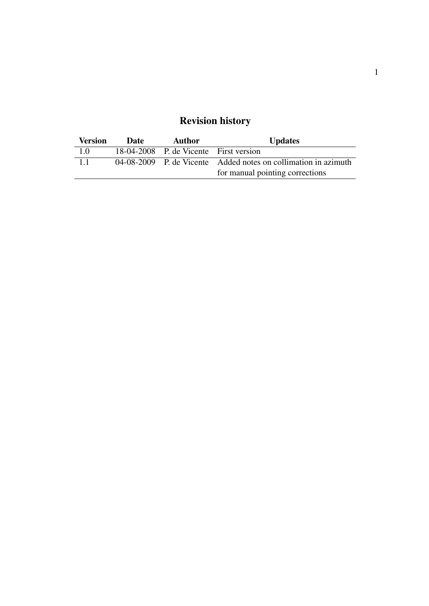## Revision history

| <b>Version</b> | Date | Author                                 | <b>Updates</b>                                                 |
|----------------|------|----------------------------------------|----------------------------------------------------------------|
| 1.0            |      | 18-04-2008 P. de Vicente First version |                                                                |
| 1.1            |      |                                        | 04-08-2009 P. de Vicente Added notes on collimation in azimuth |
|                |      |                                        | for manual pointing corrections                                |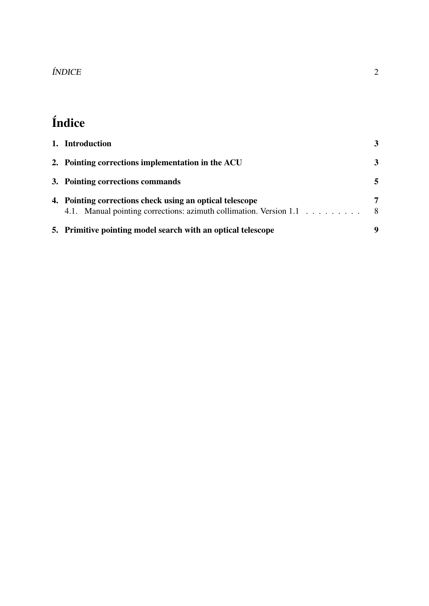# Índice

| 1. Introduction                                                                                                                | 3       |
|--------------------------------------------------------------------------------------------------------------------------------|---------|
| 2. Pointing corrections implementation in the ACU                                                                              | 3       |
| 3. Pointing corrections commands                                                                                               |         |
| 4. Pointing corrections check using an optical telescope<br>4.1. Manual pointing corrections: azimuth collimation. Version 1.1 | 7<br>-8 |
| 5. Primitive pointing model search with an optical telescope                                                                   | 9       |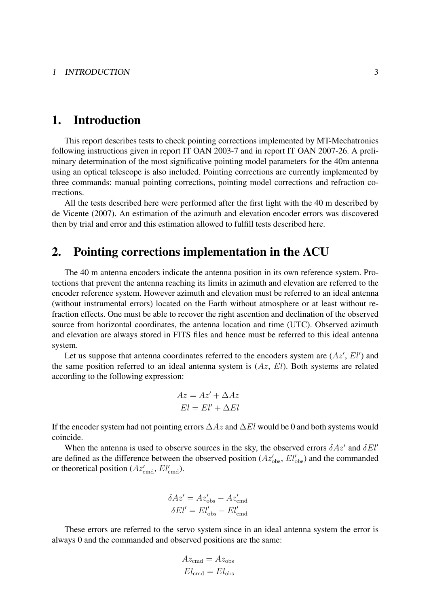## 1. Introduction

This report describes tests to check pointing corrections implemented by MT-Mechatronics following instructions given in report IT OAN 2003-7 and in report IT OAN 2007-26. A preliminary determination of the most significative pointing model parameters for the 40m antenna using an optical telescope is also included. Pointing corrections are currently implemented by three commands: manual pointing corrections, pointing model corrections and refraction corrections.

All the tests described here were performed after the first light with the 40 m described by de Vicente (2007). An estimation of the azimuth and elevation encoder errors was discovered then by trial and error and this estimation allowed to fulfill tests described here.

## 2. Pointing corrections implementation in the ACU

The 40 m antenna encoders indicate the antenna position in its own reference system. Protections that prevent the antenna reaching its limits in azimuth and elevation are referred to the encoder reference system. However azimuth and elevation must be referred to an ideal antenna (without instrumental errors) located on the Earth without atmosphere or at least without refraction effects. One must be able to recover the right ascention and declination of the observed source from horizontal coordinates, the antenna location and time (UTC). Observed azimuth and elevation are always stored in FITS files and hence must be referred to this ideal antenna system.

Let us suppose that antenna coordinates referred to the encoders system are  $(Az', El')$  and the same position referred to an ideal antenna system is  $(Az, El)$ . Both systems are related according to the following expression:

$$
Az = Az' + \Delta Az
$$

$$
El = El' + \Delta El
$$

If the encoder system had not pointing errors  $\Delta Az$  and  $\Delta El$  would be 0 and both systems would coincide.

When the antenna is used to observe sources in the sky, the observed errors  $\delta Az'$  and  $\delta El'$ are defined as the difference between the observed position ( $Az'_{obs}$ ,  $El'_{obs}$ ) and the commanded or theoretical position ( $Az'_{\text{cmd}}, El'_{\text{cmd}}$ ).

$$
\delta A z' = A z'_{\rm obs} - A z'_{\rm cmd}
$$
  

$$
\delta E l' = E l'_{\rm obs} - E l'_{\rm cmd}
$$

These errors are referred to the servo system since in an ideal antenna system the error is always 0 and the commanded and observed positions are the same:

$$
Az_{\rm cmd} = Az_{\rm obs}
$$

$$
El_{\rm cmd} = El_{\rm obs}
$$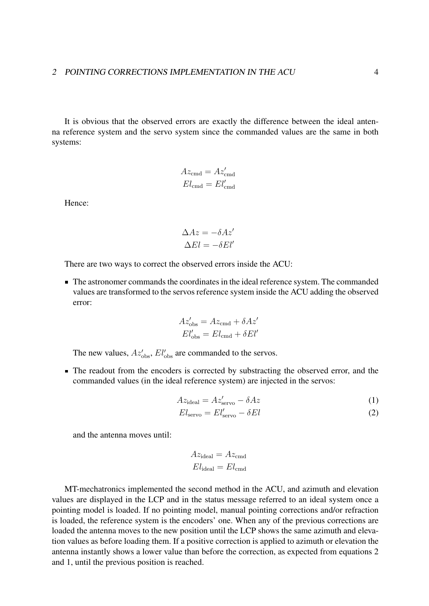It is obvious that the observed errors are exactly the difference between the ideal antenna reference system and the servo system since the commanded values are the same in both systems:

$$
Az_{\rm cmd} = Az'_{\rm cmd}
$$
  

$$
El_{\rm cmd} = El'_{\rm cmd}
$$

Hence:

$$
\Delta Az = -\delta Az'
$$
  

$$
\Delta El = -\delta El'
$$

There are two ways to correct the observed errors inside the ACU:

The astronomer commands the coordinates in the ideal reference system. The commanded values are transformed to the servos reference system inside the ACU adding the observed error:

$$
Az'_{\rm obs} = Az_{\rm cmd} + \delta Az'
$$

$$
El'_{\rm obs} = El_{\rm cmd} + \delta El'
$$

The new values,  $Az'_{\rm obs}$ ,  $El'_{\rm obs}$  are commanded to the servos.

• The readout from the encoders is corrected by substracting the observed error, and the commanded values (in the ideal reference system) are injected in the servos:

$$
Az_{\text{ideal}} = Az'_{\text{servo}} - \delta Az \tag{1}
$$

$$
El_{\rm servo} = El_{\rm servo}' - \delta El \tag{2}
$$

and the antenna moves until:

$$
Az_{\text{ideal}} = Az_{\text{cmd}}
$$

$$
El_{\text{ideal}} = El_{\text{cmd}}
$$

MT-mechatronics implemented the second method in the ACU, and azimuth and elevation values are displayed in the LCP and in the status message referred to an ideal system once a pointing model is loaded. If no pointing model, manual pointing corrections and/or refraction is loaded, the reference system is the encoders' one. When any of the previous corrections are loaded the antenna moves to the new position until the LCP shows the same azimuth and elevation values as before loading them. If a positive correction is applied to azimuth or elevation the antenna instantly shows a lower value than before the correction, as expected from equations 2 and 1, until the previous position is reached.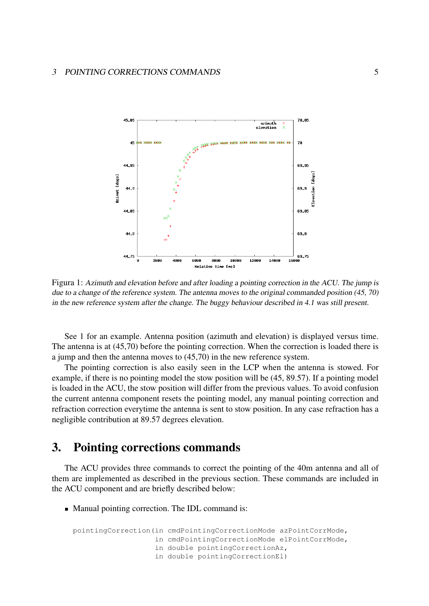

Figura 1: Azimuth and elevation before and after loading a pointing correction in the ACU. The jump is due to a change of the reference system. The antenna moves to the original commanded position (45, 70) in the new reference system after the change. The buggy behaviour described in 4.1 was still present.

See 1 for an example. Antenna position (azimuth and elevation) is displayed versus time. The antenna is at (45,70) before the pointing correction. When the correction is loaded there is a jump and then the antenna moves to (45,70) in the new reference system.

The pointing correction is also easily seen in the LCP when the antenna is stowed. For example, if there is no pointing model the stow position will be (45, 89.57). If a pointing model is loaded in the ACU, the stow position will differ from the previous values. To avoid confusion the current antenna component resets the pointing model, any manual pointing correction and refraction correction everytime the antenna is sent to stow position. In any case refraction has a negligible contribution at 89.57 degrees elevation.

## 3. Pointing corrections commands

The ACU provides three commands to correct the pointing of the 40m antenna and all of them are implemented as described in the previous section. These commands are included in the ACU component and are briefly described below:

• Manual pointing correction. The IDL command is:

```
pointingCorrection(in cmdPointingCorrectionMode azPointCorrMode,
       in cmdPointingCorrectionMode elPointCorrMode,
       in double pointingCorrectionAz,
       in double pointingCorrectionEl)
```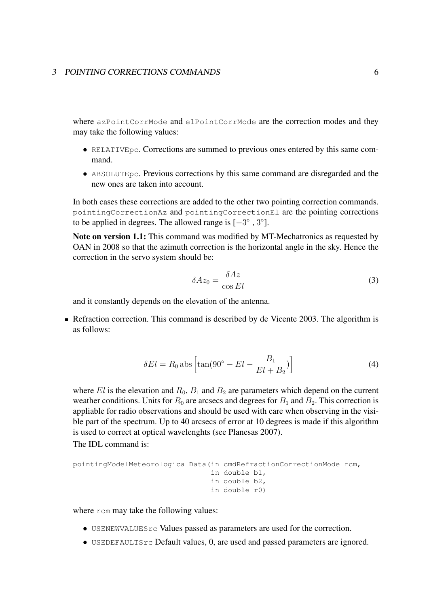#### 3 POINTING CORRECTIONS COMMANDS 6

where azPointCorrMode and elPointCorrMode are the correction modes and they may take the following values:

- RELATIVEpc. Corrections are summed to previous ones entered by this same command.
- ABSOLUTEpc. Previous corrections by this same command are disregarded and the new ones are taken into account.

In both cases these corrections are added to the other two pointing correction commands. pointingCorrectionAz and pointingCorrectionEl are the pointing corrections to be applied in degrees. The allowed range is  $[-3^\circ, 3^\circ]$ .

Note on version 1.1: This command was modified by MT-Mechatronics as requested by OAN in 2008 so that the azimuth correction is the horizontal angle in the sky. Hence the correction in the servo system should be:

$$
\delta Az_0 = \frac{\delta Az}{\cos El} \tag{3}
$$

and it constantly depends on the elevation of the antenna.

Refraction correction. This command is described by de Vicente 2003. The algorithm is as follows:

$$
\delta El = R_0 \text{ abs} \left[ \tan(90^\circ - El - \frac{B_1}{El + B_2}) \right] \tag{4}
$$

where El is the elevation and  $R_0$ ,  $B_1$  and  $B_2$  are parameters which depend on the current weather conditions. Units for  $R_0$  are arcsecs and degrees for  $B_1$  and  $B_2$ . This correction is appliable for radio observations and should be used with care when observing in the visible part of the spectrum. Up to 40 arcsecs of error at 10 degrees is made if this algorithm is used to correct at optical wavelenghts (see Planesas 2007).

The IDL command is:

```
pointingModelMeteorologicalData(in cmdRefractionCorrectionMode rcm,
                    in double b1,
                    in double b2,
                    in double r0)
```
where rcm may take the following values:

- USENEWVALUES rc Values passed as parameters are used for the correction.
- USEDEFAULTSrc Default values, 0, are used and passed parameters are ignored.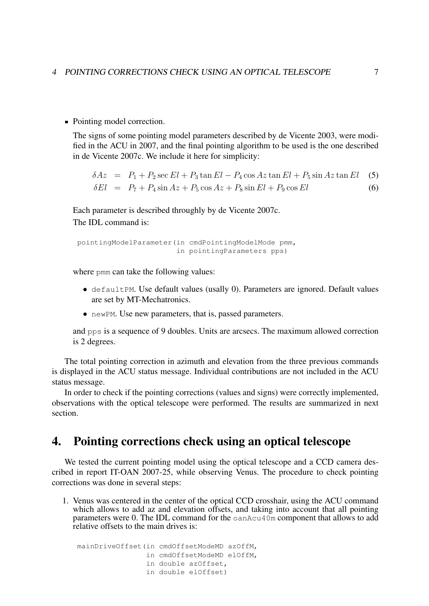• Pointing model correction.

The signs of some pointing model parameters described by de Vicente 2003, were modified in the ACU in 2007, and the final pointing algorithm to be used is the one described in de Vicente 2007c. We include it here for simplicity:

$$
\delta Az = P_1 + P_2 \sec El + P_3 \tan El - P_4 \cos Az \tan El + P_5 \sin Az \tan El \quad (5)
$$
  

$$
\delta El = P_7 + P_4 \sin Az + P_5 \cos Az + P_8 \sin El + P_9 \cos El \quad (6)
$$

Each parameter is described throughly by de Vicente 2007c. The IDL command is:

```
pointingModelParameter(in cmdPointingModelMode pmm,
           in pointingParameters pps)
```
where pmm can take the following values:

- defaultPM. Use default values (usally 0). Parameters are ignored. Default values are set by MT-Mechatronics.
- newPM. Use new parameters, that is, passed parameters.

and pps is a sequence of 9 doubles. Units are arcsecs. The maximum allowed correction is 2 degrees.

The total pointing correction in azimuth and elevation from the three previous commands is displayed in the ACU status message. Individual contributions are not included in the ACU status message.

In order to check if the pointing corrections (values and signs) were correctly implemented, observations with the optical telescope were performed. The results are summarized in next section.

## 4. Pointing corrections check using an optical telescope

We tested the current pointing model using the optical telescope and a CCD camera described in report IT-OAN 2007-25, while observing Venus. The procedure to check pointing corrections was done in several steps:

1. Venus was centered in the center of the optical CCD crosshair, using the ACU command which allows to add az and elevation offsets, and taking into account that all pointing parameters were 0. The IDL command for the  $\circ$ anAcu40m component that allows to add relative offsets to the main drives is:

mainDriveOffset(in cmdOffsetModeMD azOffM, in cmdOffsetModeMD elOffM, in double azOffset, in double elOffset)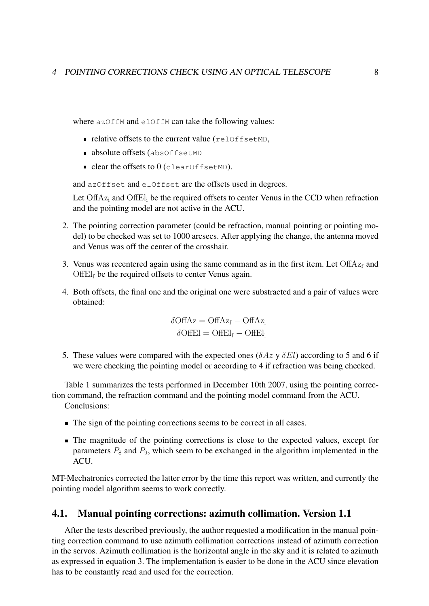where azOffM and elOffM can take the following values:

- relative offsets to the current value (relOffsetMD,
- absolute offsets (absOffsetMD
- $\blacksquare$  clear the offsets to  $0$  (clearOffsetMD).

and azOffset and elOffset are the offsets used in degrees.

Let  $\text{OffAz}_i$  and  $\text{OffEl}_i$  be the required offsets to center Venus in the CCD when refraction and the pointing model are not active in the ACU.

- 2. The pointing correction parameter (could be refraction, manual pointing or pointing model) to be checked was set to 1000 arcsecs. After applying the change, the antenna moved and Venus was off the center of the crosshair.
- 3. Venus was recentered again using the same command as in the first item. Let  $\text{OffAz}_f$  and  $\text{OffE1}_f$  be the required offsets to center Venus again.
- 4. Both offsets, the final one and the original one were substracted and a pair of values were obtained:

 $\delta$ OffAz = OffAz<sub>f</sub> – OffAz<sub>i</sub>  $\delta$ OffEl = OffEl<sub>f</sub> – OffEl<sub>i</sub>

5. These values were compared with the expected ones ( $\delta Az$  y  $\delta El$ ) according to 5 and 6 if we were checking the pointing model or according to 4 if refraction was being checked.

Table 1 summarizes the tests performed in December 10th 2007, using the pointing correction command, the refraction command and the pointing model command from the ACU. Conclusions:

- The sign of the pointing corrections seems to be correct in all cases.
- The magnitude of the pointing corrections is close to the expected values, except for parameters  $P_8$  and  $P_9$ , which seem to be exchanged in the algorithm implemented in the ACU.

MT-Mechatronics corrected the latter error by the time this report was written, and currently the pointing model algorithm seems to work correctly.

#### 4.1. Manual pointing corrections: azimuth collimation. Version 1.1

After the tests described previously, the author requested a modification in the manual pointing correction command to use azimuth collimation corrections instead of azimuth correction in the servos. Azimuth collimation is the horizontal angle in the sky and it is related to azimuth as expressed in equation 3. The implementation is easier to be done in the ACU since elevation has to be constantly read and used for the correction.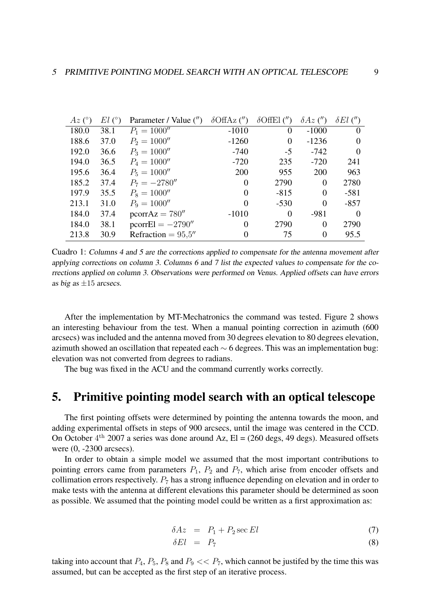| $Az$ (°) | El (°) | Parameter / Value (") | $\delta$ OffAz $($ ") | $\delta$ OffEl (") | $\delta Az$ (") | $\delta El$ (") |
|----------|--------|-----------------------|-----------------------|--------------------|-----------------|-----------------|
| 180.0    | 38.1   | $P_1 = 1000''$        | $-1010$               | $\theta$           | $-1000$         | $\Omega$        |
| 188.6    | 37.0   | $P_2 = 1000''$        | $-1260$               | $\theta$           | $-1236$         | $\Omega$        |
| 192.0    | 36.6   | $P_3 = 1000''$        | $-740$                | $-5$               | $-742$          | $\Omega$        |
| 194.0    | 36.5   | $P_4 = 1000''$        | $-720$                | 235                | $-720$          | 241             |
| 195.6    | 36.4   | $P_5 = 1000''$        | 200                   | 955                | 200             | 963             |
| 185.2    | 37.4   | $P_7 = -2780''$       | $\Omega$              | 2790               | $\Omega$        | 2780            |
| 197.9    | 35.5   | $P_8 = 1000''$        | $\Omega$              | $-815$             | $\Omega$        | $-581$          |
| 213.1    | 31.0   | $P_9 = 1000''$        | $\Omega$              | $-530$             | $\theta$        | $-857$          |
| 184.0    | 37.4   | $pcorrAz = 780''$     | $-1010$               | $\theta$           | $-981$          | $\Omega$        |
| 184.0    | 38.1   | $pcorrEl = -2790''$   | $\Omega$              | 2790               | $\theta$        | 2790            |
| 213.8    | 30.9   | Refraction = $95.5''$ | $\Omega$              | 75                 | 0               | 95.5            |

Cuadro 1: Columns 4 and 5 are the corrections applied to compensate for the antenna movement after applying corrections on column 3. Columns 6 and 7 list the expected values to compensate for the corrections applied on column 3. Observations were performed on Venus. Applied offsets can have errors as big as  $\pm 15$  arcsecs.

After the implementation by MT-Mechatronics the command was tested. Figure 2 shows an interesting behaviour from the test. When a manual pointing correction in azimuth (600 arcsecs) was included and the antenna moved from 30 degrees elevation to 80 degrees elevation, azimuth showed an oscillation that repeated each ∼ 6 degrees. This was an implementation bug: elevation was not converted from degrees to radians.

The bug was fixed in the ACU and the command currently works correctly.

## 5. Primitive pointing model search with an optical telescope

The first pointing offsets were determined by pointing the antenna towards the moon, and adding experimental offsets in steps of 900 arcsecs, until the image was centered in the CCD. On October  $4<sup>th</sup>$  2007 a series was done around Az, El = (260 degs, 49 degs). Measured offsets were (0, -2300 arcsecs).

In order to obtain a simple model we assumed that the most important contributions to pointing errors came from parameters  $P_1$ ,  $P_2$  and  $P_7$ , which arise from encoder offsets and collimation errors respectively.  $P_7$  has a strong influence depending on elevation and in order to make tests with the antenna at different elevations this parameter should be determined as soon as possible. We assumed that the pointing model could be written as a first approximation as:

$$
\delta Az = P_1 + P_2 \sec El \tag{7}
$$

$$
\delta El = P_7 \tag{8}
$$

taking into account that  $P_4$ ,  $P_5$ ,  $P_8$  and  $P_9 \ll P_7$ , which cannot be justifed by the time this was assumed, but can be accepted as the first step of an iterative process.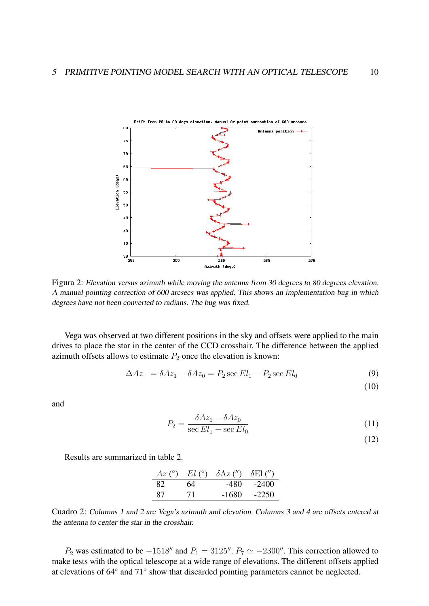

Figura 2: Elevation versus azimuth while moving the antenna from 30 degrees to 80 degrees elevation. A manual pointing correction of 600 arcsecs was applied. This shows an implementation bug in which degrees have not been converted to radians. The bug was fixed.

Vega was observed at two different positions in the sky and offsets were applied to the main drives to place the star in the center of the CCD crosshair. The difference between the applied azimuth offsets allows to estimate  $P_2$  once the elevation is known:

$$
\Delta Az = \delta Az_1 - \delta Az_0 = P_2 \sec El_1 - P_2 \sec El_0 \tag{9}
$$

(10)

and

$$
P_2 = \frac{\delta A z_1 - \delta A z_0}{\sec El_1 - \sec El_0}
$$
\n
$$
\tag{11}
$$

(12)

Results are summarized in table 2.

|     |     | $Az$ (°) $El$ (°) $\delta Az$ (") $\delta El$ (") |         |
|-----|-----|---------------------------------------------------|---------|
| -82 | -64 | -480-                                             | -2400   |
| -87 | 71  | -1680                                             | $-2250$ |

Cuadro 2: Columns 1 and 2 are Vega's azimuth and elevation. Columns 3 and 4 are offsets entered at the antenna to center the star in the crosshair.

 $P_2$  was estimated to be  $-1518''$  and  $P_1 = 3125''$ .  $P_7 \simeq -2300''$ . This correction allowed to make tests with the optical telescope at a wide range of elevations. The different offsets applied at elevations of 64° and 71° show that discarded pointing parameters cannot be neglected.